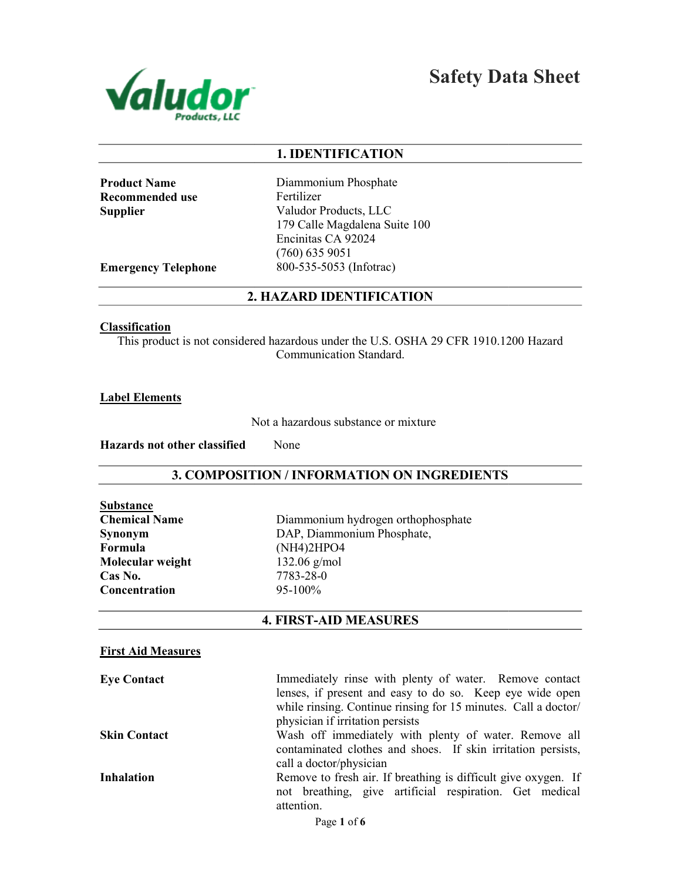

Safety Data Sheet

# 1. IDENTIFICATION

Product Name Recommended use Supplier

Diammonium Phosphate Fertilizer Valudor Products, LLC 179 Calle Magdalena Suite 100 Encinitas CA 92024 (760) 635 9051 800-535-5053 (Infotrac)

Emergency Telephone

# 2. HAZARD IDENTIFICATION

#### **Classification**

This product is not considered hazardous under the U.S. OSHA 29 CFR 1910.1200 Hazard<br>Communication Standard.

Label Elements

Not a hazardous substance or mixture

Hazards not other classified None

## 3. COMPOSITION / INFORMATION ON INGREDIENTS

| Substance            |
|----------------------|
| <b>Chemical Name</b> |
| Synonym              |
| Formula              |
| Molecular weight     |
| Cas No.              |
| Concentration        |

Diammonium hydrogen orthophosphate DAP, Diammonium Phosphate, (NH4)2HPO4 132.06 g/mol 7783-28-0 95-100%

# 4. FIRST-AID MEASURES

## First Aid Measures

| <b>Eye Contact</b>  | Immediately rinse with plenty of water. Remove contact<br>lenses, if present and easy to do so. Keep eye wide open<br>while rinsing. Continue rinsing for 15 minutes. Call a doctor/ |
|---------------------|--------------------------------------------------------------------------------------------------------------------------------------------------------------------------------------|
|                     | physician if irritation persists                                                                                                                                                     |
| <b>Skin Contact</b> | Wash off immediately with plenty of water. Remove all<br>contaminated clothes and shoes. If skin irritation persists,<br>call a doctor/physician                                     |
| <b>Inhalation</b>   | Remove to fresh air. If breathing is difficult give oxygen. If<br>not breathing, give artificial respiration. Get medical<br>attention.                                              |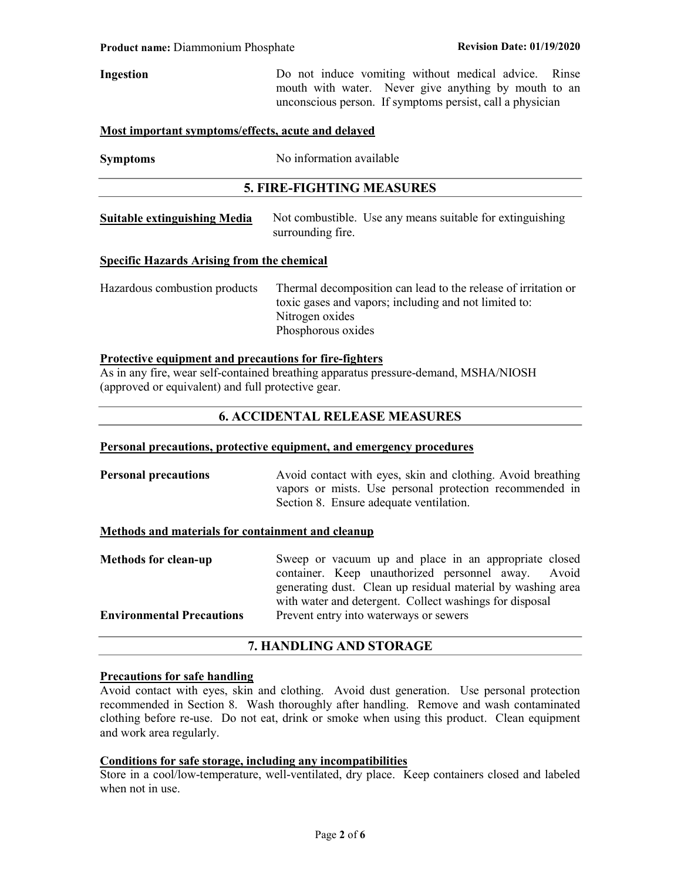# Ingestion Do not induce vomiting without medical advice. Rinse mouth with water. Never give anything by mouth to an unconscious person. If symptoms persist, call a physician

#### Most important symptoms/effects, acute and delayed

| <b>Symptoms</b> | No information available |
|-----------------|--------------------------|
|                 |                          |

#### 5. FIRE-FIGHTING MEASURES

Suitable extinguishing Media Not combustible. Use any means suitable for extinguishing surrounding fire.

#### Specific Hazards Arising from the chemical

Hazardous combustion products Thermal decomposition can lead to the release of irritation or toxic gases and vapors; including and not limited to: Nitrogen oxides Phosphorous oxides

#### Protective equipment and precautions for fire-fighters

As in any fire, wear self-contained breathing apparatus pressure-demand, MSHA/NIOSH (approved or equivalent) and full protective gear.

# 6. ACCIDENTAL RELEASE MEASURES

#### Personal precautions, protective equipment, and emergency procedures

**Personal precautions** Avoid contact with eyes, skin and clothing. Avoid breathing vapors or mists. Use personal protection recommended in Section 8. Ensure adequate ventilation.

#### Methods and materials for containment and cleanup

Methods for clean-up Sweep or vacuum up and place in an appropriate closed container. Keep unauthorized personnel away. Avoid generating dust. Clean up residual material by washing area with water and detergent. Collect washings for disposal Environmental Precautions Prevent entry into waterways or sewers

#### 7. HANDLING AND STORAGE

#### Precautions for safe handling

Avoid contact with eyes, skin and clothing. Avoid dust generation. Use personal protection recommended in Section 8. Wash thoroughly after handling. Remove and wash contaminated clothing before re-use. Do not eat, drink or smoke when using this product. Clean equipment and work area regularly.

# Conditions for safe storage, including any incompatibilities

Store in a cool/low-temperature, well-ventilated, dry place. Keep containers closed and labeled when not in use.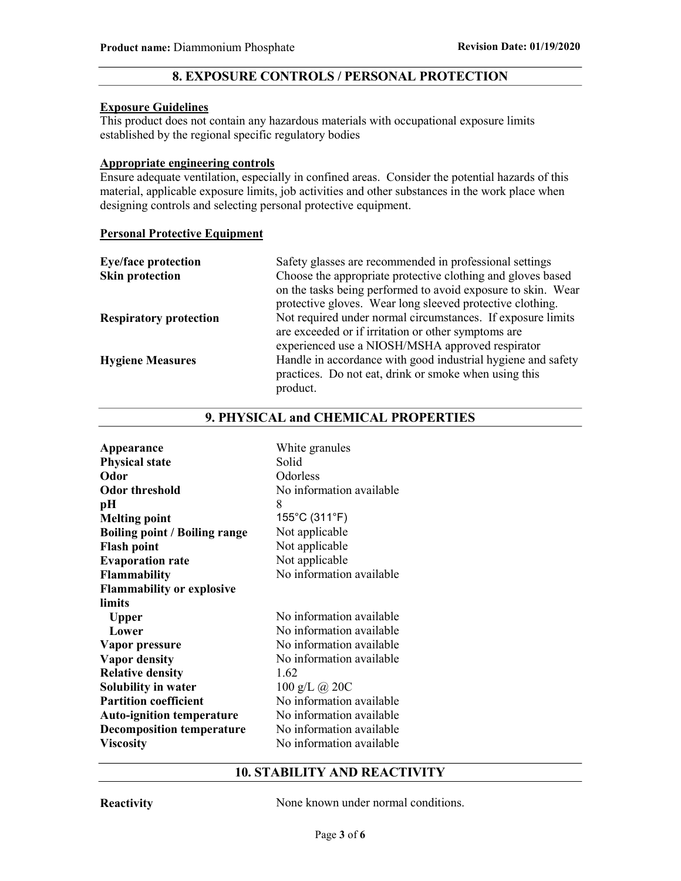# 8. EXPOSURE CONTROLS / PERSONAL PROTECTION

#### Exposure Guidelines

This product does not contain any hazardous materials with occupational exposure limits established by the regional specific regulatory bodies

### Appropriate engineering controls

Ensure adequate ventilation, especially in confined areas. Consider the potential hazards of this material, applicable exposure limits, job activities and other substances in the work place when designing controls and selecting personal protective equipment.

# Personal Protective Equipment

| <b>Eye/face protection</b>    | Safety glasses are recommended in professional settings      |
|-------------------------------|--------------------------------------------------------------|
| <b>Skin protection</b>        | Choose the appropriate protective clothing and gloves based  |
|                               | on the tasks being performed to avoid exposure to skin. Wear |
|                               | protective gloves. Wear long sleeved protective clothing.    |
| <b>Respiratory protection</b> | Not required under normal circumstances. If exposure limits  |
|                               | are exceeded or if irritation or other symptoms are          |
|                               | experienced use a NIOSH/MSHA approved respirator             |
| <b>Hygiene Measures</b>       | Handle in accordance with good industrial hygiene and safety |
|                               | practices. Do not eat, drink or smoke when using this        |
|                               | product.                                                     |

# 9. PHYSICAL and CHEMICAL PROPERTIES

| White granules           |
|--------------------------|
| Solid                    |
| Odorless                 |
| No information available |
| 8                        |
| 155°C (311°F)            |
| Not applicable           |
| Not applicable           |
| Not applicable           |
| No information available |
|                          |
|                          |
| No information available |
| No information available |
| No information available |
| No information available |
| 1.62                     |
| 100 g/L @ 20C            |
| No information available |
| No information available |
| No information available |
| No information available |
|                          |

# 10. STABILITY AND REACTIVITY

Reactivity None known under normal conditions.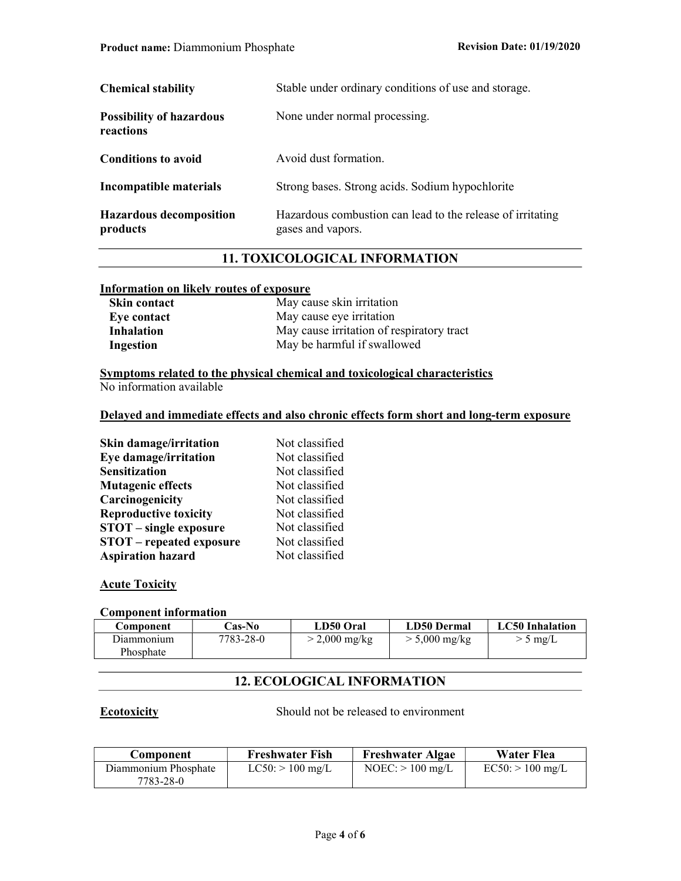| <b>Chemical stability</b>                    | Stable under ordinary conditions of use and storage.                            |
|----------------------------------------------|---------------------------------------------------------------------------------|
| <b>Possibility of hazardous</b><br>reactions | None under normal processing.                                                   |
| <b>Conditions to avoid</b>                   | Avoid dust formation.                                                           |
| Incompatible materials                       | Strong bases. Strong acids. Sodium hypochlorite                                 |
| <b>Hazardous decomposition</b><br>products   | Hazardous combustion can lead to the release of irritating<br>gases and vapors. |

# 11. TOXICOLOGICAL INFORMATION

#### Information on likely routes of exposure

| <b>Skin contact</b> | May cause skin irritation                 |
|---------------------|-------------------------------------------|
| Eye contact         | May cause eye irritation                  |
| <b>Inhalation</b>   | May cause irritation of respiratory tract |
| Ingestion           | May be harmful if swallowed               |

## Symptoms related to the physical chemical and toxicological characteristics No information available

#### Delayed and immediate effects and also chronic effects form short and long-term exposure

| <b>Skin damage/irritation</b>   | Not classified |
|---------------------------------|----------------|
| Eye damage/irritation           | Not classified |
| <b>Sensitization</b>            | Not classified |
| <b>Mutagenic effects</b>        | Not classified |
| Carcinogenicity                 | Not classified |
| <b>Reproductive toxicity</b>    | Not classified |
| <b>STOT</b> – single exposure   | Not classified |
| <b>STOT</b> – repeated exposure | Not classified |
| <b>Aspiration hazard</b>        | Not classified |

# **Acute Toxicity**

## Component information

| Component  | <b>Cas-No</b> | LD50 Oral       | LD50 Dermal             | LC50 Inhalation |
|------------|---------------|-----------------|-------------------------|-----------------|
| Diammonium | 7783-28-0     | $>$ 2,000 mg/kg | $> 5,000 \text{ mg/kg}$ | $> 5$ mg/L      |
| Phosphate  |               |                 |                         |                 |

# 12. ECOLOGICAL INFORMATION

Ecotoxicity Should not be released to environment

| Component                         | <b>Freshwater Fish</b> | <b>Freshwater Algae</b> | Water Flea         |
|-----------------------------------|------------------------|-------------------------|--------------------|
| Diammonium Phosphate<br>7783-28-0 | $LC50$ : $> 100$ mg/L  | $NOEC:$ > 100 mg/L      | $EC50:$ > 100 mg/L |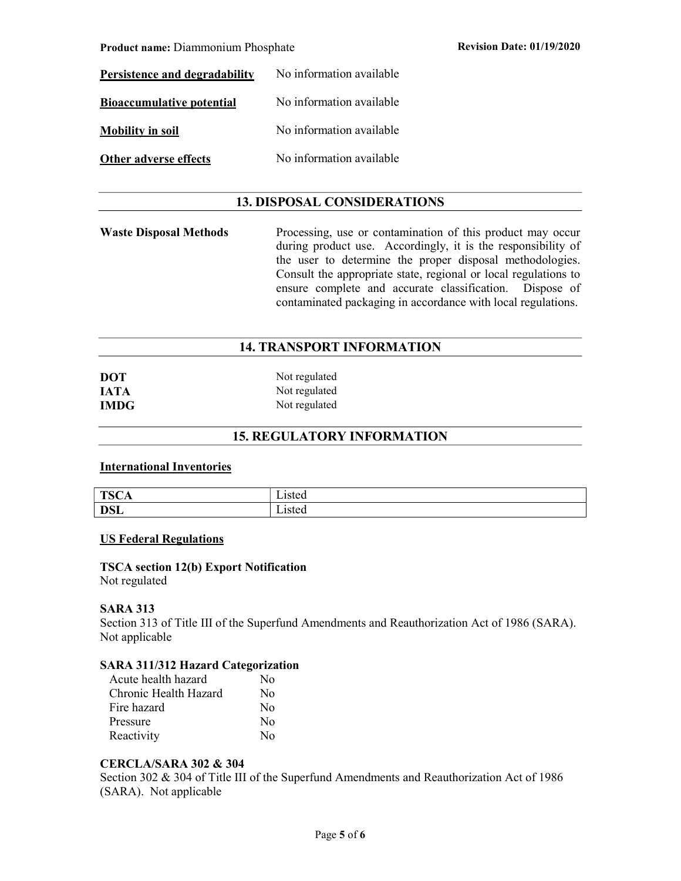Product name: Diammonium Phosphate **Revision Date: 01/19/2020** 

| Persistence and degradability    | No information available |
|----------------------------------|--------------------------|
| <b>Bioaccumulative potential</b> | No information available |
| <b>Mobility in soil</b>          | No information available |
| Other adverse effects            | No information available |

# 13. DISPOSAL CONSIDERATIONS

Waste Disposal Methods Processing, use or contamination of this product may occur during product use. Accordingly, it is the responsibility of the user to determine the proper disposal methodologies. Consult the appropriate state, regional or local regulations to ensure complete and accurate classification. Dispose of contaminated packaging in accordance with local regulations.

# 14. TRANSPORT INFORMATION

| <b>DOT</b>  | Not regulated |
|-------------|---------------|
| <b>IATA</b> | Not regulated |
| <b>IMDG</b> | Not regulated |

# 15. REGULATORY INFORMATION

#### International Inventories

| T <sub>0</sub><br>10.11<br>ᆂ | $1c$ tor<br>-istuu |
|------------------------------|--------------------|
| DCL<br><b>DOL</b>            | 10tar<br>Lisicu    |

# US Federal Regulations

## TSCA section 12(b) Export Notification

Not regulated

## SARA 313

Section 313 of Title III of the Superfund Amendments and Reauthorization Act of 1986 (SARA). Not applicable

#### SARA 311/312 Hazard Categorization

| Acute health hazard   | N٥                      |
|-----------------------|-------------------------|
| Chronic Health Hazard | No                      |
| Fire hazard           | $\overline{N}_{\Omega}$ |
| Pressure              | No                      |
| Reactivity            | $\rm N_{\Omega}$        |

#### CERCLA/SARA 302 & 304

Section 302 & 304 of Title III of the Superfund Amendments and Reauthorization Act of 1986 (SARA). Not applicable